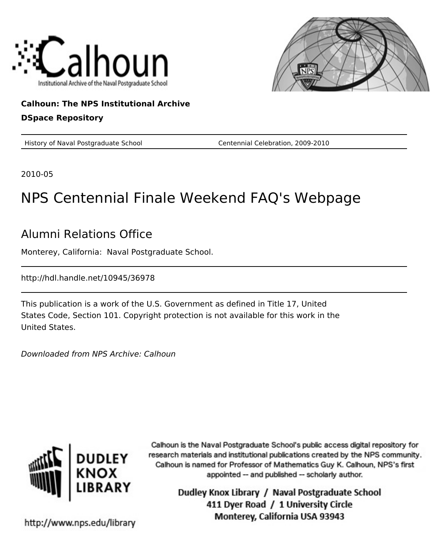



### **Calhoun: The NPS Institutional Archive DSpace Repository**

History of Naval Postgraduate School Centennial Celebration, 2009-2010

2010-05

# NPS Centennial Finale Weekend FAQ's Webpage

## Alumni Relations Office

Monterey, California: Naval Postgraduate School.

http://hdl.handle.net/10945/36978

This publication is a work of the U.S. Government as defined in Title 17, United States Code, Section 101. Copyright protection is not available for this work in the United States.

Downloaded from NPS Archive: Calhoun



Calhoun is the Naval Postgraduate School's public access digital repository for research materials and institutional publications created by the NPS community. Calhoun is named for Professor of Mathematics Guy K. Calhoun, NPS's first appointed -- and published -- scholarly author.

> Dudley Knox Library / Naval Postgraduate School 411 Dyer Road / 1 University Circle Monterey, California USA 93943

http://www.nps.edu/library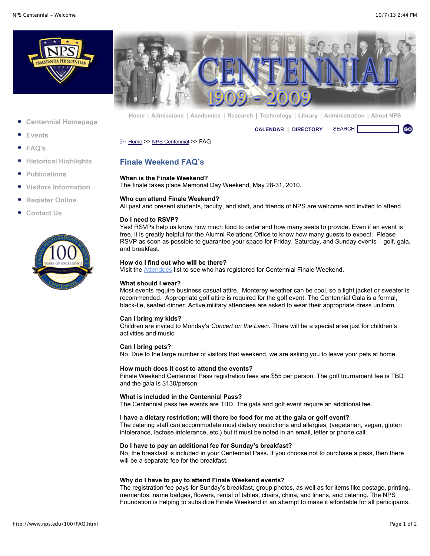



- **[Centennial Homepage](http://www.nps.edu/100/index.html)**
- **[Events](http://www.nps.edu/100/PDF/Kickoff_Schedule_of_Events%202.pdf)**
- **[FAQ's](http://www.nps.edu/100/FAQ.html)**
- **[Historical Highlights](http://www.nps.edu/100/HistoricalHighlights.html)**
- **[Publications](http://www.nps.edu/100/Publications.html)**
- **[Visitors Information](http://www.nps.edu/100/VisitorInformation.html)**
- **[Register Online](http://nps.imodules.com/s/725/index.aspx?sid=725&gid=1&pgid=326&cid=911&ecid=911&crid=0&calpgid=13&calcid=670)**
- **[Contact Us](http://www.nps.edu/100/ContactUs.html)**



**[Home](http://www.nps.edu/index.html) | [Admissions](http://www.nps.edu/Academics/Admissions/index.html) | [Academics](http://www.nps.edu/Academics/index.html) | [Research](http://www.nps.edu/Research/index.html) | [Technology](http://www.nps.edu/Technology/index.html) | [Library](http://www.nps.edu/Library/index.html) | [Administration](http://www.nps.edu/Administration/) | [About NPS](http://www.nps.edu/About/index.html)**

**[CALENDAR](http://www.nps.edu/About/Events/AcadCalendar.html) | [DIRECTORY](http://www.nps.edu/About/NPSInfo/directory.html)** SEARCH

[Home](http://www.nps.edu/Home.aspx) >> [NPS Centennial](http://www.nps.edu/AboutNPS/Centennial/index.html) >> FAQ

#### **Finale Weekend FAQ's**

#### **When is the Finale Weekend?**

The finale takes place Memorial Day Weekend, May 28-31, 2010.

#### **Who can attend Finale Weekend?**

All past and present students, faculty, and staff, and friends of NPS are welcome and invited to attend.

#### **Do I need to RSVP?**

Yes! RSVPs help us know how much food to order and how many seats to provide. Even if an event is free, it is greatly helpful for the Alumni Relations Office to know how many guests to expect. Please RSVP as soon as possible to guarantee your space for Friday, Saturday, and Sunday events – golf, gala, and breakfast.

#### **How do I find out who will be there?**

Visit the **Attendees** list to see who has registered for Centennial Finale Weekend.

#### **What should I wear?**

Most events require business casual attire. Monterey weather can be cool, so a light jacket or sweater is recommended. Appropriate golf attire is required for the golf event. The Centennial Gala is a formal, black-tie, seated dinner. Active military attendees are asked to wear their appropriate dress uniform.

#### **Can I bring my kids?**

Children are invited to Monday's *Concert on the Lawn*. There will be a special area just for children's activities and music.

#### **Can I bring pets?**

No. Due to the large number of visitors that weekend, we are asking you to leave your pets at home.

#### **How much does it cost to attend the events?**

Finale Weekend Centennial Pass registration fees are \$55 per person. The golf tournament fee is TBD and the gala is \$130/person.

#### **What is included in the Centennial Pass?**

The Centennial pass fee events are TBD. The gala and golf event require an additional fee.

#### **I have a dietary restriction; will there be food for me at the gala or golf event?**

The catering staff can accommodate most dietary restrictions and allergies, (vegetarian, vegan, gluten intolerance, lactose intolerance, etc.) but it must be noted in an email, letter or phone call.

#### **Do I have to pay an additional fee for Sunday's breakfast?**

No, the breakfast is included in your Centennial Pass**.** If you choose not to purchase a pass, then there will be a separate fee for the breakfast.

#### **Why do I have to pay to attend Finale Weekend events?**

The registration fee pays for Sunday's breakfast, group photos, as well as for items like postage, printing, mementos, name badges, flowers, rental of tables, chairs, china, and linens, and catering. The NPS Foundation is helping to subsidize Finale Weekend in an attempt to make it affordable for all participants.